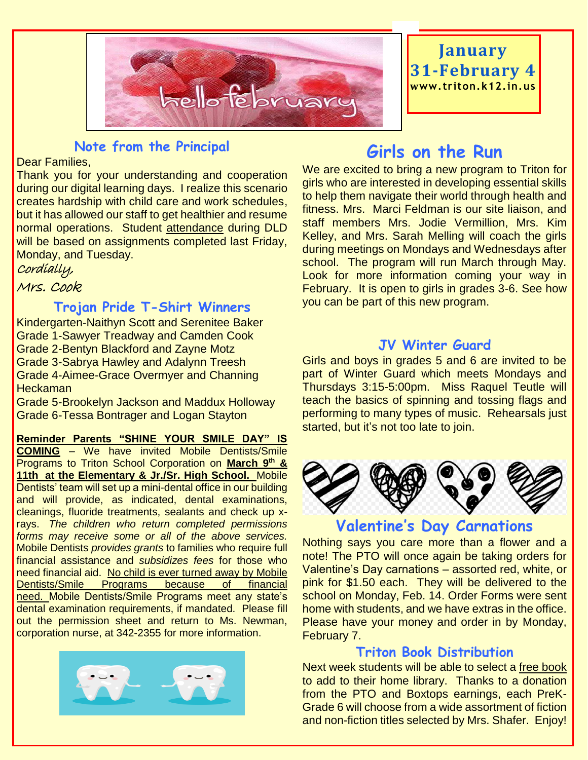

## **January 31-February 4 www. triton.k12.in.us**

## **Note from the Principal**

#### Dear Families,

Thank you for your understanding and cooperation during our digital learning days. I realize this scenario creates hardship with child care and work schedules, but it has allowed our staff to get healthier and resume normal operations. Student attendance during DLD will be based on assignments completed last Friday, Monday, and Tuesday.

#### Cordially,

## Mrs. Cook

## **Trojan Pride T-Shirt Winners**

Kindergarten-Naithyn Scott and Serenitee Baker Grade 1-Sawyer Treadway and Camden Cook Grade 2-Bentyn Blackford and Zayne Motz Grade 3-Sabrya Hawley and Adalynn Treesh Grade 4-Aimee-Grace Overmyer and Channing Heckaman

Grade 5-Brookelyn Jackson and Maddux Holloway Grade 6-Tessa Bontrager and Logan Stayton

**Reminder Parents "SHINE YOUR SMILE DAY" IS COMING** – We have invited Mobile Dentists/Smile Programs to Triton School Corporation on **March 9 th & 11th at the Elementary & Jr./Sr. High School.** Mobile Dentists' team will set up a mini-dental office in our building and will provide, as indicated, dental examinations, cleanings, fluoride treatments, sealants and check up xrays. *The children who return completed permissions forms may receive some or all of the above services.*  Mobile Dentists *provides grants* to families who require full financial assistance and *subsidizes fees* for those who need financial aid. No child is ever turned away by Mobile Dentists/Smile Programs because of financial need. Mobile Dentists/Smile Programs meet any state's dental examination requirements, if mandated. Please fill out the permission sheet and return to Ms. Newman, corporation nurse, at 342-2355 for more information.



## **Girls on the Run**

We are excited to bring a new program to Triton for girls who are interested in developing essential skills to help them navigate their world through health and fitness. Mrs. Marci Feldman is our site liaison, and staff members Mrs. Jodie Vermillion, Mrs. Kim Kelley, and Mrs. Sarah Melling will coach the girls during meetings on Mondays and Wednesdays after school. The program will run March through May. Look for more information coming your way in February. It is open to girls in grades 3-6. See how you can be part of this new program.

## **JV Winter Guard**

Girls and boys in grades 5 and 6 are invited to be part of Winter Guard which meets Mondays and Thursdays 3:15-5:00pm. Miss Raquel Teutle will teach the basics of spinning and tossing flags and performing to many types of music. Rehearsals just started, but it's not too late to join.



## **Valentine's Day Carnations**

Nothing says you care more than a flower and a note! The PTO will once again be taking orders for Valentine's Day carnations – assorted red, white, or pink for \$1.50 each. They will be delivered to the school on Monday, Feb. 14. Order Forms were sent home with students, and we have extras in the office. Please have your money and order in by Monday, February 7.

#### **Triton Book Distribution**

Next week students will be able to select a free book to add to their home library. Thanks to a donation from the PTO and Boxtops earnings, each PreK-Grade 6 will choose from a wide assortment of fiction and non-fiction titles selected by Mrs. Shafer. Enjoy!